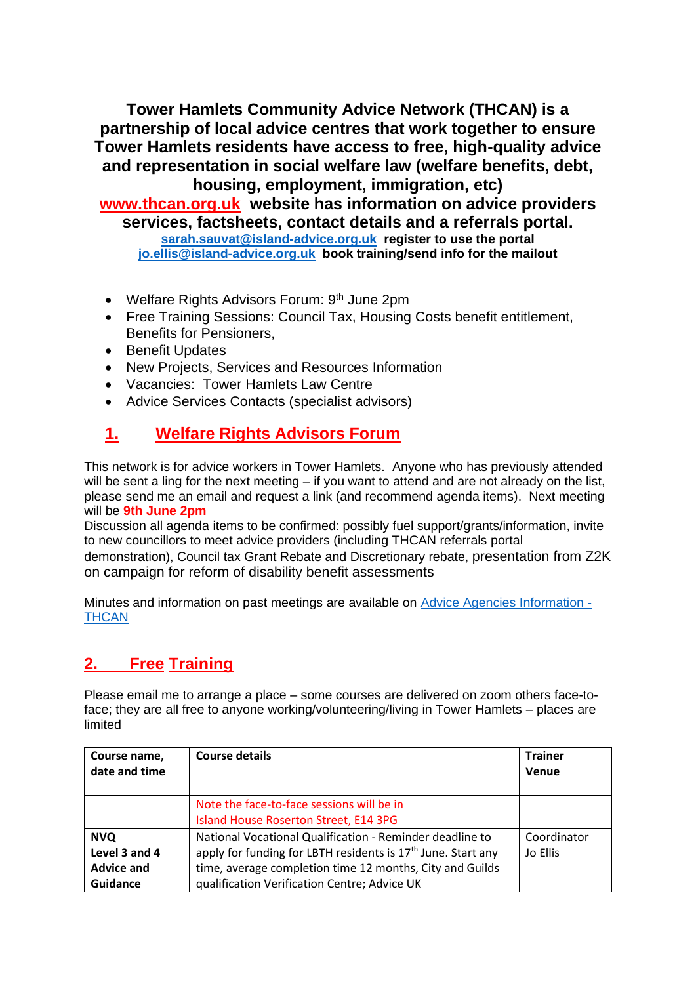**Tower Hamlets Community Advice Network (THCAN) is a partnership of local advice centres that work together to ensure Tower Hamlets residents have access to free, high-quality advice and representation in social welfare law (welfare benefits, debt, housing, employment, immigration, etc)**

**[www.thcan.org.uk](http://www.thcan.org.uk/) website has information on advice providers services, factsheets, contact details and a referrals portal. [sarah.sauvat@island-advice.org.uk](mailto:sarah.sauvat@island-advice.org.uk) register to use the portal [jo.ellis@island-advice.org.uk](mailto:jo.ellis@island-advice.org.uk) book training/send info for the mailout**

- Welfare Rights Advisors Forum: 9<sup>th</sup> June 2pm
- Free Training Sessions: Council Tax, Housing Costs benefit entitlement, Benefits for Pensioners,
- Benefit Updates
- New Projects, Services and Resources Information
- Vacancies: Tower Hamlets Law Centre
- Advice Services Contacts (specialist advisors)

# **1. Welfare Rights Advisors Forum**

This network is for advice workers in Tower Hamlets. Anyone who has previously attended will be sent a ling for the next meeting – if you want to attend and are not already on the list, please send me an email and request a link (and recommend agenda items). Next meeting will be **9th June 2pm**

Discussion all agenda items to be confirmed: possibly fuel support/grants/information, invite to new councillors to meet advice providers (including THCAN referrals portal demonstration), Council tax Grant Rebate and Discretionary rebate, presentation from Z2K on campaign for reform of disability benefit assessments

Minutes and information on past meetings are available on Advice [Agencies Information -](https://thcan.org.uk/advice-agencies-information/) **[THCAN](https://thcan.org.uk/advice-agencies-information/)** 

# **2. Free Training**

Please email me to arrange a place – some courses are delivered on zoom others face-toface; they are all free to anyone working/volunteering/living in Tower Hamlets – places are limited

| Course name,<br>date and time                                | <b>Course details</b>                                                                                                                                                                                                                            | <b>Trainer</b><br>Venue |
|--------------------------------------------------------------|--------------------------------------------------------------------------------------------------------------------------------------------------------------------------------------------------------------------------------------------------|-------------------------|
|                                                              | Note the face-to-face sessions will be in<br>Island House Roserton Street, E14 3PG                                                                                                                                                               |                         |
| <b>NVQ</b><br>Level 3 and 4<br><b>Advice and</b><br>Guidance | National Vocational Qualification - Reminder deadline to<br>apply for funding for LBTH residents is 17 <sup>th</sup> June. Start any<br>time, average completion time 12 months, City and Guilds<br>qualification Verification Centre; Advice UK | Coordinator<br>Jo Ellis |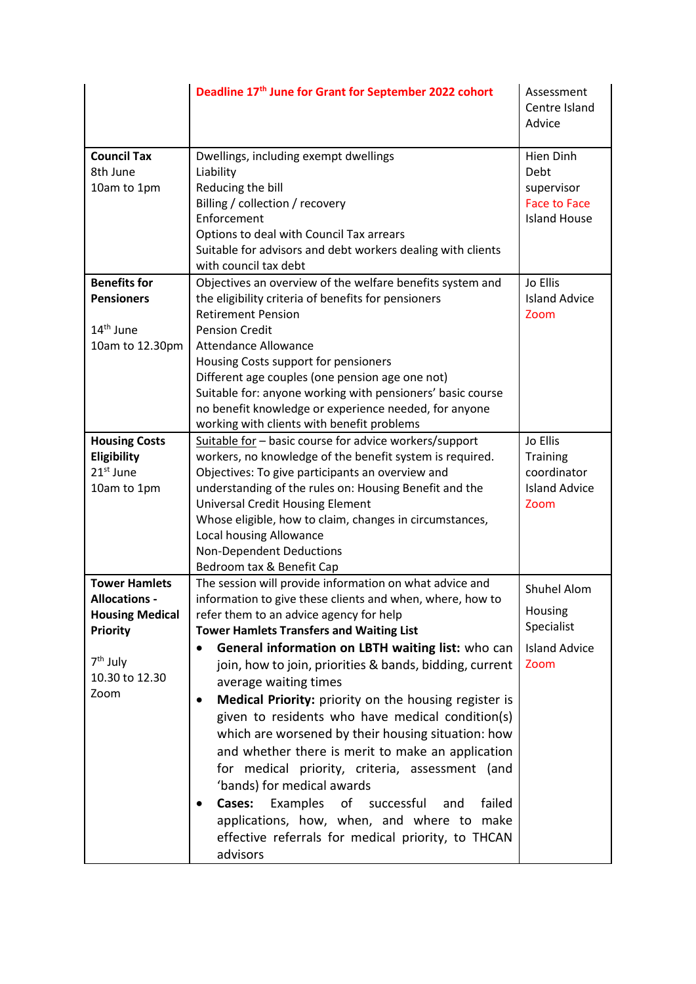|                                                                                                                                             | Deadline 17th June for Grant for September 2022 cohort                                                                                                                                                                                                                                                                                                                                                                                                                                                                                                                                                                                                                                                                                                                                                                                                                    | Assessment<br>Centre Island<br>Advice                                |
|---------------------------------------------------------------------------------------------------------------------------------------------|---------------------------------------------------------------------------------------------------------------------------------------------------------------------------------------------------------------------------------------------------------------------------------------------------------------------------------------------------------------------------------------------------------------------------------------------------------------------------------------------------------------------------------------------------------------------------------------------------------------------------------------------------------------------------------------------------------------------------------------------------------------------------------------------------------------------------------------------------------------------------|----------------------------------------------------------------------|
| <b>Council Tax</b><br>8th June<br>10am to 1pm                                                                                               | Dwellings, including exempt dwellings<br>Liability<br>Reducing the bill<br>Billing / collection / recovery                                                                                                                                                                                                                                                                                                                                                                                                                                                                                                                                                                                                                                                                                                                                                                | Hien Dinh<br>Debt<br>supervisor<br><b>Face to Face</b>               |
|                                                                                                                                             | Enforcement<br>Options to deal with Council Tax arrears<br>Suitable for advisors and debt workers dealing with clients<br>with council tax debt                                                                                                                                                                                                                                                                                                                                                                                                                                                                                                                                                                                                                                                                                                                           | <b>Island House</b>                                                  |
| <b>Benefits for</b><br><b>Pensioners</b><br>14 <sup>th</sup> June<br>10am to 12.30pm                                                        | Objectives an overview of the welfare benefits system and<br>Jo Ellis<br>the eligibility criteria of benefits for pensioners<br><b>Island Advice</b><br><b>Retirement Pension</b><br>Zoom<br><b>Pension Credit</b><br><b>Attendance Allowance</b><br>Housing Costs support for pensioners<br>Different age couples (one pension age one not)<br>Suitable for: anyone working with pensioners' basic course<br>no benefit knowledge or experience needed, for anyone                                                                                                                                                                                                                                                                                                                                                                                                       |                                                                      |
| <b>Housing Costs</b><br>Eligibility<br>21 <sup>st</sup> June<br>10am to 1pm                                                                 | working with clients with benefit problems<br>Suitable for - basic course for advice workers/support<br>workers, no knowledge of the benefit system is required.<br>Objectives: To give participants an overview and<br>understanding of the rules on: Housing Benefit and the<br><b>Universal Credit Housing Element</b><br>Whose eligible, how to claim, changes in circumstances,<br>Local housing Allowance<br><b>Non-Dependent Deductions</b><br>Bedroom tax & Benefit Cap                                                                                                                                                                                                                                                                                                                                                                                           | Jo Ellis<br>Training<br>coordinator<br><b>Island Advice</b><br>Zoom  |
| <b>Tower Hamlets</b><br><b>Allocations -</b><br><b>Housing Medical</b><br><b>Priority</b><br>7 <sup>th</sup> July<br>10.30 to 12.30<br>Zoom | The session will provide information on what advice and<br>information to give these clients and when, where, how to<br>refer them to an advice agency for help<br><b>Tower Hamlets Transfers and Waiting List</b><br>General information on LBTH waiting list: who can<br>$\bullet$<br>join, how to join, priorities & bands, bidding, current<br>average waiting times<br>Medical Priority: priority on the housing register is<br>$\bullet$<br>given to residents who have medical condition(s)<br>which are worsened by their housing situation: how<br>and whether there is merit to make an application<br>for medical priority, criteria, assessment (and<br>'bands) for medical awards<br>Cases:<br>Examples<br>of<br>failed<br>successful<br>and<br>applications, how, when, and where to make<br>effective referrals for medical priority, to THCAN<br>advisors | Shuhel Alom<br>Housing<br>Specialist<br><b>Island Advice</b><br>Zoom |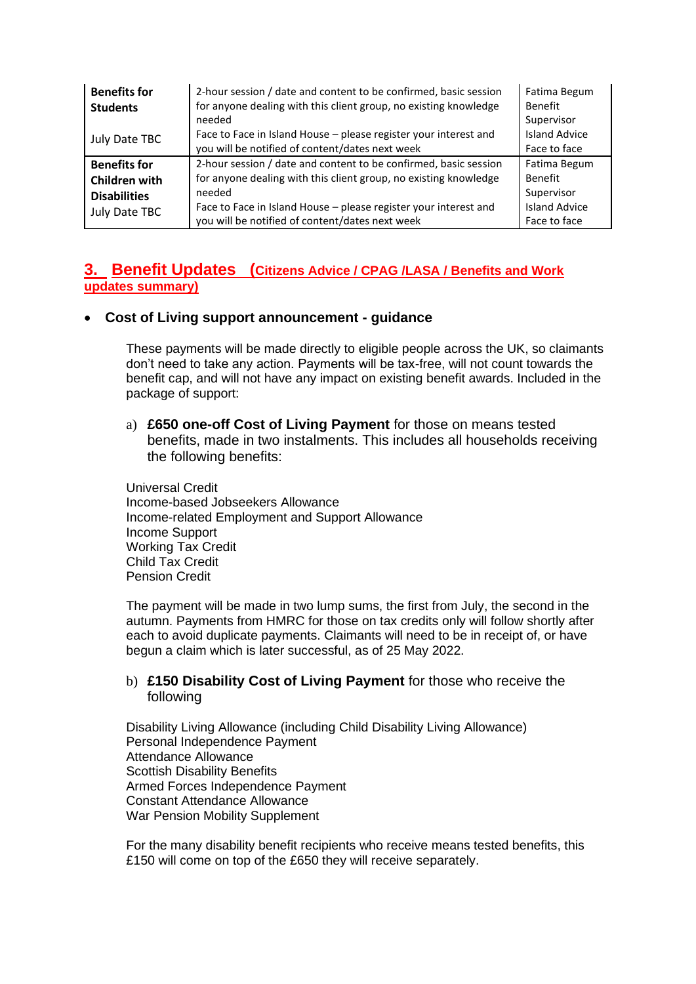| <b>Benefits for</b><br><b>Students</b> | 2-hour session / date and content to be confirmed, basic session<br>for anyone dealing with this client group, no existing knowledge<br>needed | Fatima Begum<br>Benefit<br>Supervisor |
|----------------------------------------|------------------------------------------------------------------------------------------------------------------------------------------------|---------------------------------------|
| July Date TBC                          | Face to Face in Island House - please register your interest and                                                                               | <b>Island Advice</b>                  |
|                                        | you will be notified of content/dates next week                                                                                                | Face to face                          |
| <b>Benefits for</b>                    | 2-hour session / date and content to be confirmed, basic session                                                                               | Fatima Begum                          |
| Children with                          | for anyone dealing with this client group, no existing knowledge                                                                               | <b>Benefit</b>                        |
| <b>Disabilities</b>                    | needed                                                                                                                                         | Supervisor                            |
| July Date TBC                          | Face to Face in Island House - please register your interest and                                                                               | <b>Island Advice</b>                  |
|                                        | you will be notified of content/dates next week                                                                                                | Face to face                          |

### **3. Benefit Updates (Citizens Advice / CPAG /LASA / Benefits and Work updates summary)**

#### • **Cost of Living support announcement - guidance**

These payments will be made directly to eligible people across the UK, so claimants don't need to take any action. Payments will be tax-free, will not count towards the benefit cap, and will not have any impact on existing benefit awards. Included in the package of support:

a) **£650 one-off Cost of Living Payment** for those on means tested benefits, made in two instalments. This includes all households receiving the following benefits:

Universal Credit Income-based Jobseekers Allowance Income-related Employment and Support Allowance Income Support Working Tax Credit Child Tax Credit Pension Credit

The payment will be made in two lump sums, the first from July, the second in the autumn. Payments from HMRC for those on tax credits only will follow shortly after each to avoid duplicate payments. Claimants will need to be in receipt of, or have begun a claim which is later successful, as of 25 May 2022.

### b) **£150 Disability Cost of Living Payment** for those who receive the following

Disability Living Allowance (including Child Disability Living Allowance) Personal Independence Payment Attendance Allowance Scottish Disability Benefits Armed Forces Independence Payment Constant Attendance Allowance War Pension Mobility Supplement

For the many disability benefit recipients who receive means tested benefits, this £150 will come on top of the £650 they will receive separately.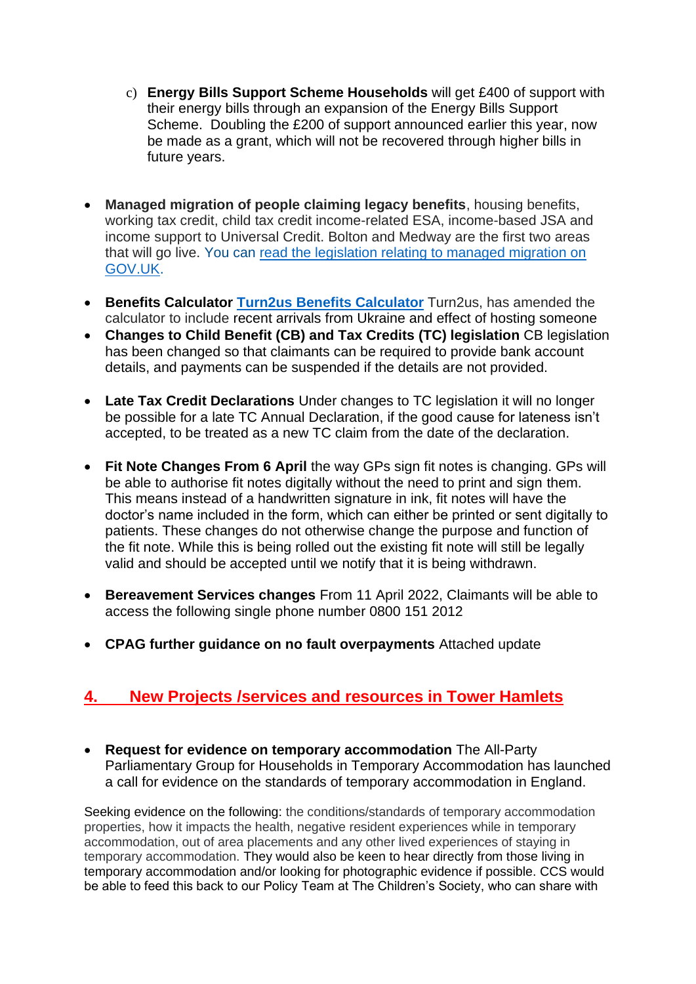- c) **Energy Bills Support Scheme Households** will get £400 of support with their energy bills through an expansion of the Energy Bills Support Scheme. Doubling the £200 of support announced earlier this year, now be made as a grant, which will not be recovered through higher bills in future years.
- **Managed migration of people claiming legacy benefits**, housing benefits, working tax credit, child tax credit income-related ESA, income-based JSA and income support to Universal Credit. Bolton and Medway are the first two areas that will go live. You can [read the legislation relating to managed migration on](https://citizensadvice.us9.list-manage.com/track/click?u=f2e5709e33ab37630d8a8d4be&id=dc39bf12bc&e=588bae1b2e)  [GOV.UK.](https://citizensadvice.us9.list-manage.com/track/click?u=f2e5709e33ab37630d8a8d4be&id=dc39bf12bc&e=588bae1b2e)
- **Benefits Calculator [Turn2us Benefits Calculator](https://benefits-calculator.turn2us.org.uk/)** Turn2us, has amended the calculator to include recent arrivals from Ukraine and effect of hosting someone
- **Changes to Child Benefit (CB) and Tax Credits (TC) legislation** CB legislation has been changed so that claimants can be required to provide bank account details, and payments can be suspended if the details are not provided.
- **Late Tax Credit Declarations** Under changes to TC legislation it will no longer be possible for a late TC Annual Declaration, if the good cause for lateness isn't accepted, to be treated as a new TC claim from the date of the declaration.
- **Fit Note Changes From 6 April** the way GPs sign fit notes is changing. GPs will be able to authorise fit notes digitally without the need to print and sign them. This means instead of a handwritten signature in ink, fit notes will have the doctor's name included in the form, which can either be printed or sent digitally to patients. These changes do not otherwise change the purpose and function of the fit note. While this is being rolled out the existing fit note will still be legally valid and should be accepted until we notify that it is being withdrawn.
- **Bereavement Services changes** From 11 April 2022, Claimants will be able to access the following single phone number 0800 151 2012
- **CPAG further guidance on no fault overpayments** Attached update

## **4. New Projects /services and resources in Tower Hamlets**

• **Request for evidence on temporary accommodation** The All-Party Parliamentary Group for Households in Temporary Accommodation has launched a call for evidence on the standards of temporary accommodation in England.

Seeking evidence on the following: the conditions/standards of temporary accommodation properties, how it impacts the health, negative resident experiences while in temporary accommodation, out of area placements and any other lived experiences of staying in temporary accommodation. They would also be keen to hear directly from those living in temporary accommodation and/or looking for photographic evidence if possible. CCS would be able to feed this back to our Policy Team at The Children's Society, who can share with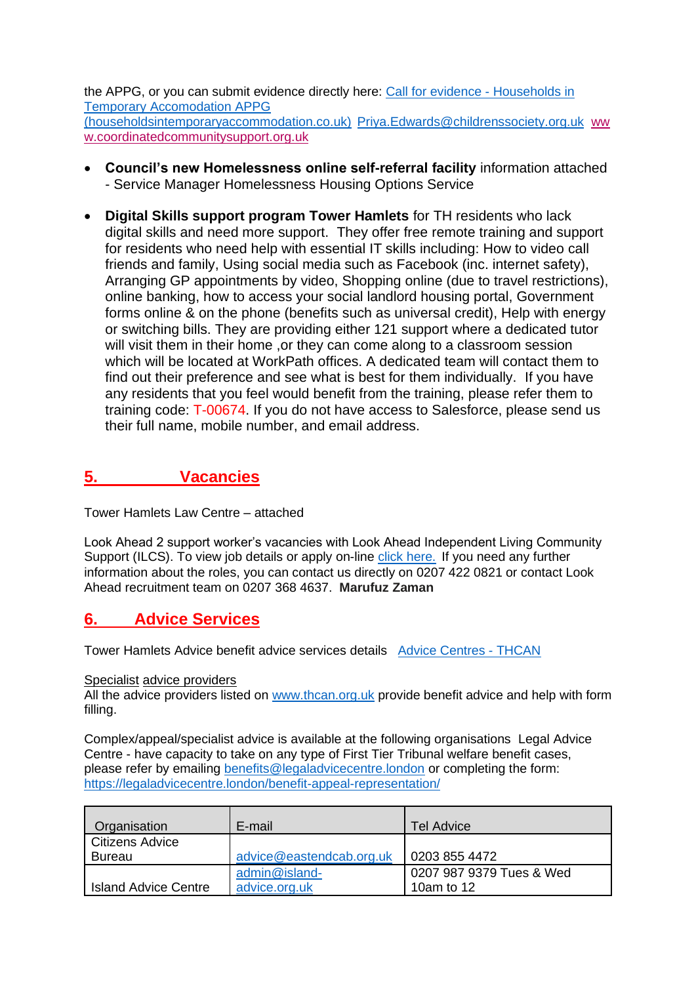the APPG, or you can submit evidence directly here: [Call for evidence -](https://eur03.safelinks.protection.outlook.com/?url=https%3A%2F%2Fhouseholdsintemporaryaccommodation.co.uk%2Fcall-for-evidence%2F&data=05|01|Priya.Edwards%40childrenssociety.org.uk|b5e107cc110d43c4923908da332bf78c|340ae048d81c4eab88a4b7491fa8a408|0|0|637878561171405782|Unknown|TWFpbGZsb3d8eyJWIjoiMC4wLjAwMDAiLCJQIjoiV2luMzIiLCJBTiI6Ik1haWwiLCJXVCI6Mn0%3D|3000|||&sdata=E39dVSEWEnVFoh0nIPPExNorKGXJZY2N1bwmq7xOtQ0%3D&reserved=0) Households in [Temporary Accomodation APPG](https://eur03.safelinks.protection.outlook.com/?url=https%3A%2F%2Fhouseholdsintemporaryaccommodation.co.uk%2Fcall-for-evidence%2F&data=05|01|Priya.Edwards%40childrenssociety.org.uk|b5e107cc110d43c4923908da332bf78c|340ae048d81c4eab88a4b7491fa8a408|0|0|637878561171405782|Unknown|TWFpbGZsb3d8eyJWIjoiMC4wLjAwMDAiLCJQIjoiV2luMzIiLCJBTiI6Ik1haWwiLCJXVCI6Mn0%3D|3000|||&sdata=E39dVSEWEnVFoh0nIPPExNorKGXJZY2N1bwmq7xOtQ0%3D&reserved=0)  [\(householdsintemporaryaccommodation.co.uk\)](https://eur03.safelinks.protection.outlook.com/?url=https%3A%2F%2Fhouseholdsintemporaryaccommodation.co.uk%2Fcall-for-evidence%2F&data=05|01|Priya.Edwards%40childrenssociety.org.uk|b5e107cc110d43c4923908da332bf78c|340ae048d81c4eab88a4b7491fa8a408|0|0|637878561171405782|Unknown|TWFpbGZsb3d8eyJWIjoiMC4wLjAwMDAiLCJQIjoiV2luMzIiLCJBTiI6Ik1haWwiLCJXVCI6Mn0%3D|3000|||&sdata=E39dVSEWEnVFoh0nIPPExNorKGXJZY2N1bwmq7xOtQ0%3D&reserved=0) [Priya.Edwards@childrenssociety.org.uk](mailto:Priya.Edwards@childrenssociety.org.uk) [ww](https://eur03.safelinks.protection.outlook.com/?url=http%3A%2F%2Fwww.coordinatedcommunitysupport.org.uk%2F&data=05|01|Priya.Edwards%40childrenssociety.org.uk|c7f28dbffb9c47ed832908da2dab2436|340ae048d81c4eab88a4b7491fa8a408|0|0|637872510312026040|Unknown|TWFpbGZsb3d8eyJWIjoiMC4wLjAwMDAiLCJQIjoiV2luMzIiLCJBTiI6Ik1haWwiLCJXVCI6Mn0%3D|3000|||&sdata=zNtai875HOb4CVL9nREUYU9wWMiB%2B20I2TY1t5fLHs4%3D&reserved=0) [w.coordinatedcommunitysupport.org.uk](https://eur03.safelinks.protection.outlook.com/?url=http%3A%2F%2Fwww.coordinatedcommunitysupport.org.uk%2F&data=05|01|Priya.Edwards%40childrenssociety.org.uk|c7f28dbffb9c47ed832908da2dab2436|340ae048d81c4eab88a4b7491fa8a408|0|0|637872510312026040|Unknown|TWFpbGZsb3d8eyJWIjoiMC4wLjAwMDAiLCJQIjoiV2luMzIiLCJBTiI6Ik1haWwiLCJXVCI6Mn0%3D|3000|||&sdata=zNtai875HOb4CVL9nREUYU9wWMiB%2B20I2TY1t5fLHs4%3D&reserved=0)

- **Council's new Homelessness online self-referral facility** information attached - Service Manager Homelessness Housing Options Service
- **Digital Skills support program Tower Hamlets** for TH residents who lack digital skills and need more support. They offer free remote training and support for residents who need help with essential IT skills including: How to video call friends and family, Using social media such as Facebook (inc. internet safety), Arranging GP appointments by video, Shopping online (due to travel restrictions), online banking, how to access your social landlord housing portal, Government forms online & on the phone (benefits such as universal credit), Help with energy or switching bills. They are providing either 121 support where a dedicated tutor will visit them in their home , or they can come along to a classroom session which will be located at WorkPath offices. A dedicated team will contact them to find out their preference and see what is best for them individually. If you have any residents that you feel would benefit from the training, please refer them to training code: T-00674. If you do not have access to Salesforce, please send us their full name, mobile number, and email address.

## **5. Vacancies**

Tower Hamlets Law Centre – attached

Look Ahead 2 support worker's vacancies with Look Ahead Independent Living Community Support (ILCS). To view job details or apply on-line [click here.](https://gbr01.safelinks.protection.outlook.com/?url=https%3A%2F%2Fprotect-eu.mimecast.com%2Fs%2FJ0gxCW76kIjBkr5t62ubJ%3Fdomain%3Dce0244li.webitrent.com&data=05%7C01%7Cmarufuzzaman%40lookahead.org.uk%7Cf26370b5dfee41e62e6708da431d1d6e%7C7609719240eb438ba3e9fc2d75b4e2f5%7C0%7C0%7C637896089565246329%7CUnknown%7CTWFpbGZsb3d8eyJWIjoiMC4wLjAwMDAiLCJQIjoiV2luMzIiLCJBTiI6Ik1haWwiLCJXVCI6Mn0%3D%7C3000%7C%7C%7C&sdata=zLsNTI1j2w7T5P6T1d1T%2F3YiK0wiw047J4oRpW5Cm4Q%3D&reserved=0) If you need any further information about the roles, you can contact us directly on 0207 422 0821 or contact Look Ahead recruitment team on 0207 368 4637. **Marufuz Zaman**

### **6. Advice Services**

Tower Hamlets Advice benefit advice services details [Advice Centres -](https://thcan.org.uk/advice-centres/) THCAN

#### Specialist advice providers

All the advice providers listed on [www.thcan.org.uk](http://www.thcan.org.uk/) provide benefit advice and help with form filling.

Complex/appeal/specialist advice is available at the following organisations Legal Advice Centre - have capacity to take on any type of First Tier Tribunal welfare benefit cases, please refer by emailing **benefits@legaladvicecentre.london** or completing the form: <https://legaladvicecentre.london/benefit-appeal-representation/>

| Organisation                | E-mail                   | Tel Advice               |
|-----------------------------|--------------------------|--------------------------|
| <b>Citizens Advice</b>      |                          |                          |
| <b>Bureau</b>               | advice@eastendcab.org.uk | 0203 855 4472            |
|                             | admin@island-            | 0207 987 9379 Tues & Wed |
| <b>Island Advice Centre</b> | advice.org.uk            | 10am to 12               |